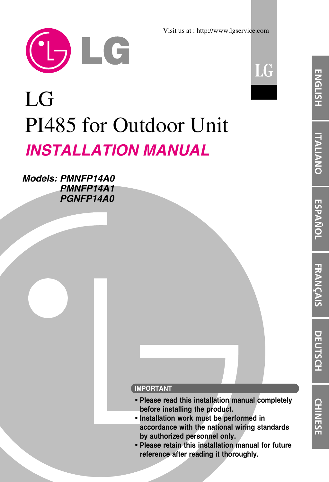

Visit us at : http://www.lgservice.com



# LG PI485 for Outdoor Unit *INSTALLATION MANUAL*

*Models: PMNFP14A0 PMNFP14A1 PGNFP14A0*



- **Please read this installation manual completely before installing the product.**
- **Installation work must be performed in accordance with the national wiring standards by authorized personnel only.**
- **Please retain this installation manual for future reference after reading it thoroughly.**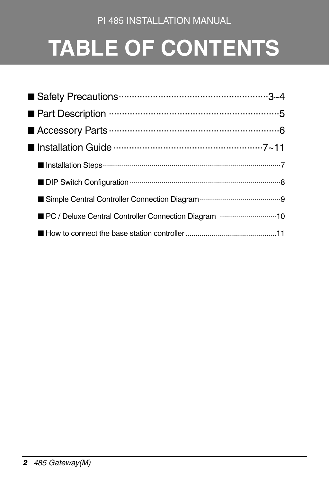#### PI 485 INSTALLATION MANUAL

# **TABLE OF CONTENTS**

| ■ PC / Deluxe Central Controller Connection Diagram 10 |  |
|--------------------------------------------------------|--|
|                                                        |  |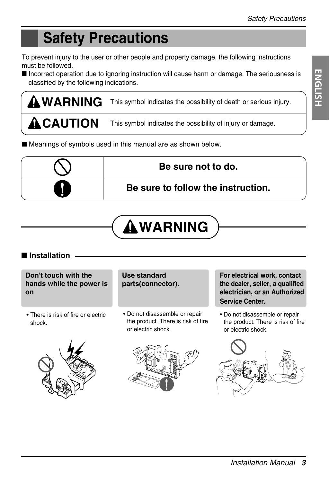# **Safety Precautions**

To prevent injury to the user or other people and property damage, the following instructions must be followed.

■ Incorrect operation due to ignoring instruction will cause harm or damage. The seriousness is classified by the following indications.

**WARNING ACAUTION** This symbol indicates the possibility of death or serious injury. This symbol indicates the possibility of injury or damage.

■ Meanings of symbols used in this manual are as shown below.



# **WARNING**

■ **Installation**

**Don't touch with the hands while the power is on**

• There is risk of fire or electric shock.





• Do not disassemble or repair the product. There is risk of fire or electric shock.



**For electrical work, contact the dealer, seller, a qualified electrician, or an Authorized Service Center.**

• Do not disassemble or repair the product. There is risk of fire or electric shock.

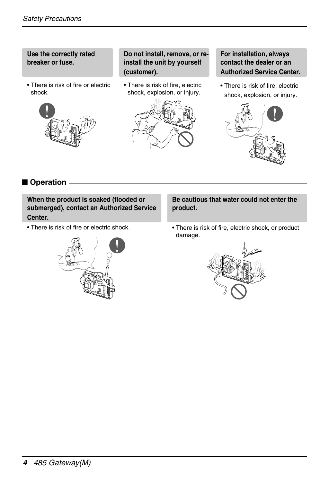**Use the correctly rated breaker or fuse.**

• There is risk of fire or electric shock.



**Do not install, remove, or reinstall the unit by yourself (customer).**

• There is risk of fire, electric shock, explosion, or injury.



**For installation, always contact the dealer or an Authorized Service Center.**

• There is risk of fire, electric shock, explosion, or injury.



■ **Operation** 

**When the product is soaked (flooded or submerged), contact an Authorized Service Center.**

• There is risk of fire or electric shock.



**Be cautious that water could not enter the product.**

• There is risk of fire, electric shock, or product damage.

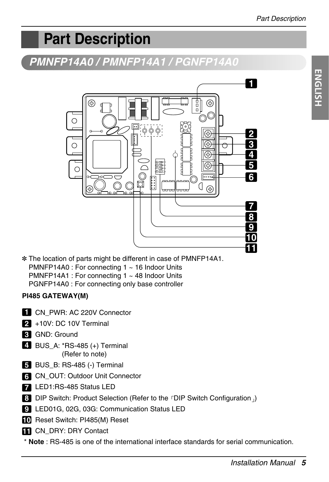# **Part Description**

### *PMNFP14A0 / PMNFP14A1 / PGNFP14A0*



✽ The location of parts might be different in case of PMNFP14A1. PMNFP14A0 : For connecting 1 ~ 16 Indoor Units PMNFP14A1 : For connecting 1 ~ 48 Indoor Units PGNFP14A0 : For connecting only base controller

#### **PI485 GATEWAY(M)**

- CN\_PWR: AC 220V Connector **1**
- +10V: DC 10V Terminal **2**
- GND: Ground **3**
- BUS\_A: \*RS-485 (+) Terminal **4** (Refer to note)
- BUS\_B: RS-485 (-) Terminal **5**
- CN\_OUT: Outdoor Unit Connector **6**
- LED1:RS-485 Status LED **7**
- **8** DIP Switch: Product Selection (Refer to the <sup>r</sup>DIP Switch Configuration<sub>J</sub>)
- LED01G, 02G, 03G: Communication Status LED **9**
- **10** Reset Switch: PI485(M) Reset
- **11** CN\_DRY: DRY Contact
- \* **Note** : RS-485 is one of the international interface standards for serial communication.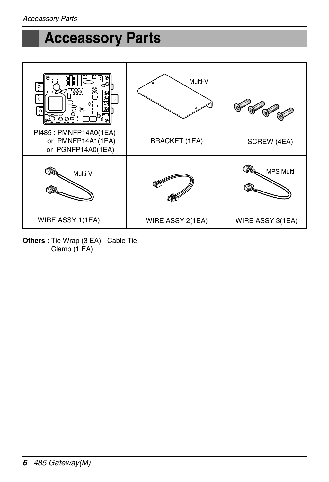## **Acceassory Parts**



**Others :** Tie Wrap (3 EA) - Cable Tie Clamp (1 EA)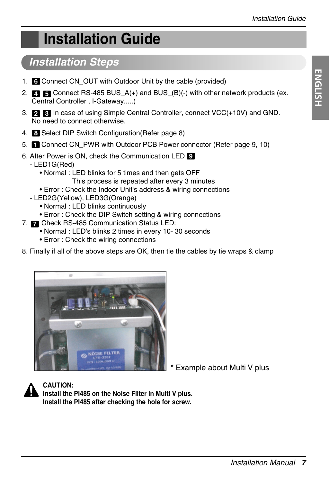# **Installation Guide**

### *Installation Steps*

- 1. **6** Connect CN\_OUT with Outdoor Unit by the cable (provided)
- 2. **4 5** Connect RS-485 BUS\_A(+) and BUS\_(B)(-) with other network products (ex. Central Controller , I-Gateway.....)
- 3. In case of using Simple Central Controller, connect VCC(+10V) and GND. **2 3** No need to connect otherwise.
- 4. Select DIP Switch Configuration(Refer page 8) **8**
- 5. Connect CN\_PWR with Outdoor PCB Power connector (Refer page 9, 10)
- 6. After Power is ON, check the Communication LED **9**
	- LED1G(Red)
		- Normal : LED blinks for 5 times and then gets OFF This process is repeated after every 3 minutes
		- Error : Check the Indoor Unit's address & wiring connections
	- LED2G(Yellow), LED3G(Orange)
		- Normal : LED blinks continuously
		- Error : Check the DIP Switch setting & wiring connections
- 7. **7** Check RS-485 Communication Status LED:
	- Normal : LED's blinks 2 times in every 10~30 seconds
	- Error : Check the wiring connections
- 8. Finally if all of the above steps are OK, then tie the cables by tie wraps & clamp



Example about Multi V plus



**CAUTION:** 

**Install the PI485 on the Noise Filter in Multi V plus. Install the PI485 after checking the hole for screw.**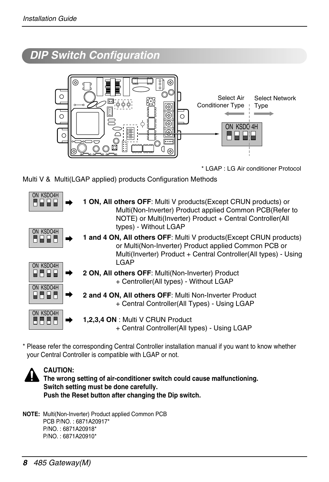### *DIP Switch Configuration*



\* LGAP : LG Air conditioner Protocol

Multi V & Multi(LGAP applied) products Configuration Methods

| ON KSDO4H<br>n e e e              | 1 ON, All others OFF: Multi V products (Except CRUN products) or<br>Multi(Non-Inverter) Product applied Common PCB(Refer to<br>NOTE) or Multi(Inverter) Product + Central Controller(All<br>types) - Without LGAP |
|-----------------------------------|-------------------------------------------------------------------------------------------------------------------------------------------------------------------------------------------------------------------|
| ON KSDO4H<br>a wiwia<br>ON KSDO4H | 1 and 4 ON, All others OFF: Multi V products (Except CRUN products)<br>or Multi(Non-Inverter) Product applied Common PCB or<br>Multi(Inverter) Product + Central Controller(All types) - Using<br>LGAP            |
| w Filmia<br>ON KSDO4H             | 2 ON, All others OFF: Multi(Non-Inverter) Product<br>+ Centroller(All types) - Without LGAP                                                                                                                       |
| ылып                              | 2 and 4 ON, All others OFF: Multi Non-Inverter Product<br>+ Central Controller(All Types) - Using LGAP                                                                                                            |
| ON KSDO4H<br>88886                | 1,2,3,4 ON : Multi V CRUN Product<br>+ Central Controller(All types) - Using LGAP                                                                                                                                 |

\* Please refer the corresponding Central Controller installation manual if you want to know whether your Central Controller is compatible with LGAP or not.



#### **CAUTION:**

**The wrong setting of air-conditioner switch could cause malfunctioning. Switch setting must be done carefully. Push the Reset button after changing the Dip switch.**

**NOTE:** Multi(Non-Inverter) Product applied Common PCB PCB P/NO. : 6871A20917\* P/NO. : 6871A20918\* P/NO. : 6871A20910\*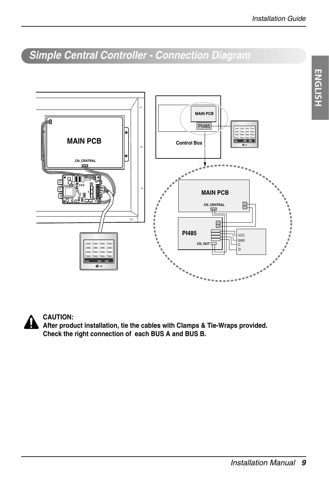**ENGLISH**

**ENGLISH** 

### *Simple Central Controller - Connection Diagram*





#### **CAUTION:**

**After product installation, tie the cables with Clamps & Tie-Wraps provided. Check the right connection of each BUS A and BUS B.**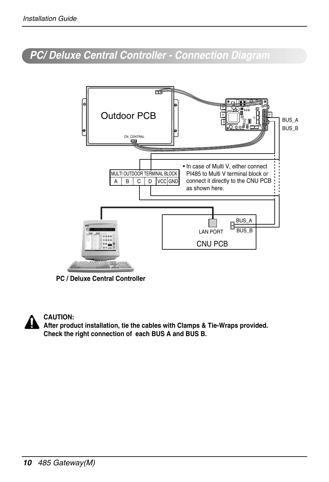### *PC/ Deluxe Central Controller - Connection Diagram*



**PC / Deluxe Central Controller**



#### **CAUTION:**

**After product installation, tie the cables with Clamps & Tie-Wraps provided. Check the right connection of each BUS A and BUS B.**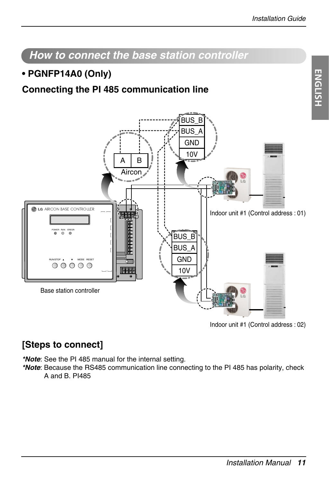

*How to connect the base station controller*

Indoor unit #1 (Control address : 02)

#### **[Steps to connect]**

*\*Note*: See the PI 485 manual for the internal setting.

*\*Note*: Because the RS485 communication line connecting to the PI 485 has polarity, check A and B. PI485